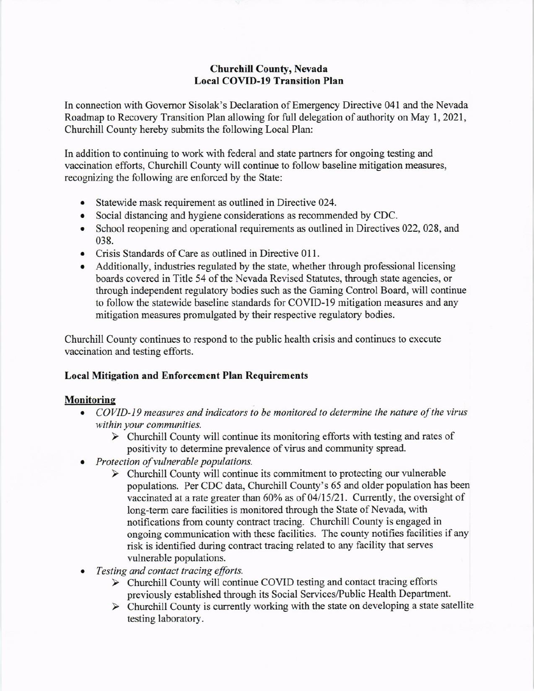#### Churchill County, Nevada Local COVID-19 Transition Plan

In connection with Governor Sisolak's Declaration of Emergency Directive 041 and the Nevada Roadmap to Recovery Transition Plan allowing for full delegation of authority on May 1, 2021, Churchill County hereby submits the followirg Local Plan:

In addition to continuing to work with federal and state partners for ongoing testing and vaccination efforts, Churchill County will continue to follow baseline mitigation measures, recognizing the following are enforced by the State:

- . Statewide mask rcquirement as outlined in Directive 024.
- o Social distancing and hygiene considerations as recommended by CDC.
- . School reopening and operational requirements as outlined in Directives 022, 028, and 038.
- Crisis Standards of Care as outlined in Directive 011.
- Additionally, industries regulated by the state, whether through professional licensing boards covered in Title 54 of the Nevada Revised Statutes, through state agencies, or through independent regulatory bodies such as the Gaming Control Board, will continue to follow the statewide baseline standards for COVID-I9 mitigation measues and any mitigation measures promulgated by their respective regulatory bodies.

Churchill County continues to respond to the public health crisis and continues to execute vaccination and testing efforts.

#### **Local Mitigation and Enforcement Plan Requirements**

#### **Monitoring**

- COVID-19 measures and indicators to be monitored to determine the nature of the virus within your communities.
	- $\triangleright$  Churchill County will continue its monitoring efforts with testing and rates of positivity to determine prevalence of virus and community spread.
- Protection of vulnerable populations.
	- $\triangleright$  Churchill County will continue its commitment to protecting our vulnerable populations. Per CDC data, Churchill County's 65 and older population has been vaccinated at a rate greater than  $60\%$  as of  $04/15/21$ . Currently, the oversight of long-term care facilities is monitored through the State of Nevada, with notifications from county contract tracing. Churchill County is engaged in ongoing communication with these facilities. The county notifies facilities if any risk is identified during contract tracing related to any facility that serves vulnerable populations.
- Testing and contact tracing efforts.
	- $\triangleright$  Churchill County will continue COVID testing and contact tracing efforts previously established through its Social Services/Public Health Department.
	- $\triangleright$  Churchill County is currently working with the state on developing a state satellite testing laboratory.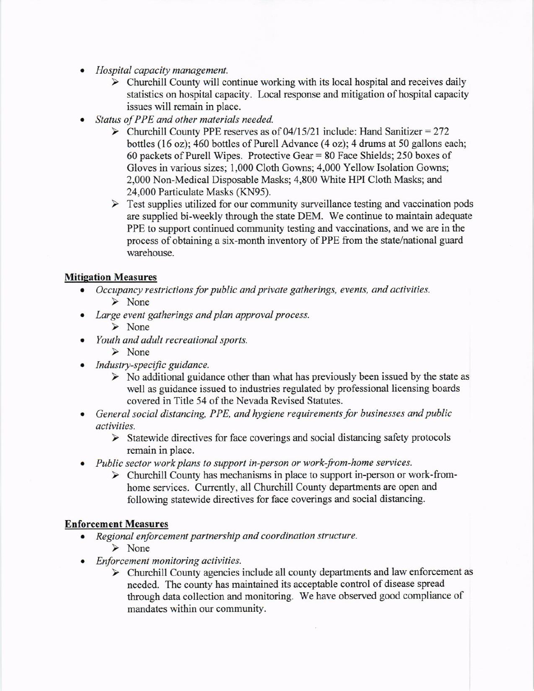- . Hospitol capacity management.
	- $\triangleright$  Churchill County will continue working with its local hospital and receives daily statistics on hospital capacity. Local response and mitigation of hospital capacity issues will remain in place.
- . Status of PPE and other materials needed.
	- $\triangleright$  Churchill County PPE reserves as of 04/15/21 include: Hand Sanitizer = 272 bottles (16 oz); 460 bottles of Purell Advance (4 oz); 4 drums at 50 gallons each; 60 packets of Purell Wipes. Protective Gear  $= 80$  Face Shields; 250 boxes of Gloves in various sizes; 1,000 Cloth Gowns; 4,000 Yellow Isolation Gowns; 2,000 Non-Medical Disposable Masks; 4,800 white HPI Cloth Masks; and 24,000 Particulate Masks (KN95).
	- $\triangleright$  Test supplies utilized for our community surveillance testing and vaccination pods are supplied bi-weekly through the state DEM. We continue to maintain adequate PPE to support continued community testing and vaccinations, and we are in the process of obtaining a six-month inventory of PPE from the state/national guard warehouse.

#### **Mitigation Measures**

- Occupancy restrictions for public and private gatherings, events, and activities. ) None
- Large event gatherings and plan approval process.
	- ) None
- Youth and adult recreational sports.
	- $\triangleright$  None
- Industry-specific guidance.
	- $\triangleright$  No additional guidance other than what has previously been issued by the state as well as guidance issued to industries regulated by professional licensing boards covered in Title 54 of the Nevada Revised Statutes.
- General social distancing, PPE, and hygiene requirements for businesses and public activities.
	- $\triangleright$  Statewide directives for face coverings and social distancing safety protocols remain in place.
- Public sector work plans to support in-person or work-from-home services.
	- $\triangleright$  Churchill County has mechanisms in place to support in-person or work-fromhome services. Currently, all Churchill County departnents are open and following statewide directives for face coverings and social distancing.

#### **Enforcement Measures**

- . Regional enforcement partnership and coordination structure.  $\triangleright$  None
- Enforcement monitoring activities.
	- $\triangleright$  Churchill County agencies include all county departments and law enforcement as needed. The county has maintained its acceptable control of disease spread through data collection and monitoring. We have observed good compliance of mandates within our community.